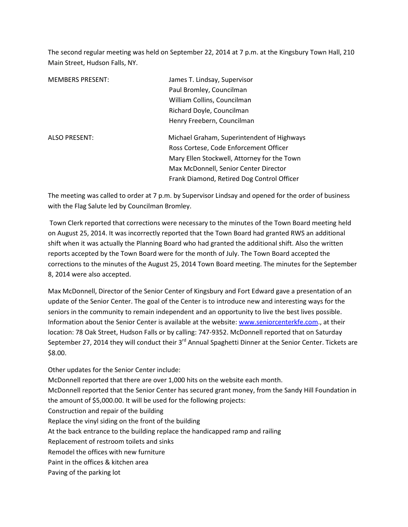The second regular meeting was held on September 22, 2014 at 7 p.m. at the Kingsbury Town Hall, 210 Main Street, Hudson Falls, NY.

| <b>MEMBERS PRESENT:</b> | James T. Lindsay, Supervisor<br>Paul Bromley, Councilman |  |
|-------------------------|----------------------------------------------------------|--|
|                         |                                                          |  |
|                         | William Collins, Councilman                              |  |
|                         | Richard Doyle, Councilman                                |  |
|                         | Henry Freebern, Councilman                               |  |
| <b>ALSO PRESENT:</b>    | Michael Graham, Superintendent of Highways               |  |
|                         | Ross Cortese, Code Enforcement Officer                   |  |
|                         | Mary Ellen Stockwell, Attorney for the Town              |  |
|                         | Max McDonnell, Senior Center Director                    |  |
|                         | Frank Diamond, Retired Dog Control Officer               |  |

The meeting was called to order at 7 p.m. by Supervisor Lindsay and opened for the order of business with the Flag Salute led by Councilman Bromley.

 Town Clerk reported that corrections were necessary to the minutes of the Town Board meeting held on August 25, 2014. It was incorrectly reported that the Town Board had granted RWS an additional shift when it was actually the Planning Board who had granted the additional shift. Also the written reports accepted by the Town Board were for the month of July. The Town Board accepted the corrections to the minutes of the August 25, 2014 Town Board meeting. The minutes for the September 8, 2014 were also accepted.

Max McDonnell, Director of the Senior Center of Kingsbury and Fort Edward gave a presentation of an update of the Senior Center. The goal of the Center is to introduce new and interesting ways for the seniors in the community to remain independent and an opportunity to live the best lives possible. Information about the Senior Center is available at the website: www.seniorcenterkfe.com., at their location: 78 Oak Street, Hudson Falls or by calling: 747-9352. McDonnell reported that on Saturday September 27, 2014 they will conduct their 3<sup>rd</sup> Annual Spaghetti Dinner at the Senior Center. Tickets are \$8.00.

Other updates for the Senior Center include: McDonnell reported that there are over 1,000 hits on the website each month. McDonnell reported that the Senior Center has secured grant money, from the Sandy Hill Foundation in the amount of \$5,000.00. It will be used for the following projects: Construction and repair of the building Replace the vinyl siding on the front of the building At the back entrance to the building replace the handicapped ramp and railing Replacement of restroom toilets and sinks Remodel the offices with new furniture Paint in the offices & kitchen area Paving of the parking lot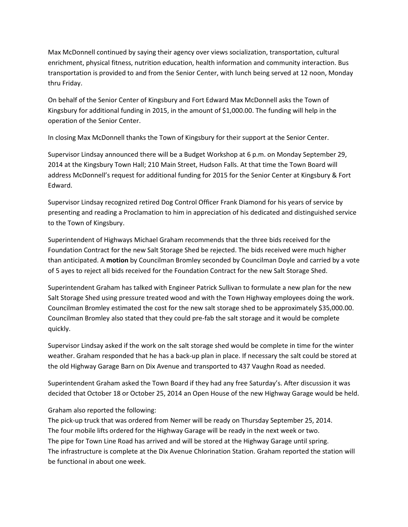Max McDonnell continued by saying their agency over views socialization, transportation, cultural enrichment, physical fitness, nutrition education, health information and community interaction. Bus transportation is provided to and from the Senior Center, with lunch being served at 12 noon, Monday thru Friday.

On behalf of the Senior Center of Kingsbury and Fort Edward Max McDonnell asks the Town of Kingsbury for additional funding in 2015, in the amount of \$1,000.00. The funding will help in the operation of the Senior Center.

In closing Max McDonnell thanks the Town of Kingsbury for their support at the Senior Center.

Supervisor Lindsay announced there will be a Budget Workshop at 6 p.m. on Monday September 29, 2014 at the Kingsbury Town Hall; 210 Main Street, Hudson Falls. At that time the Town Board will address McDonnell's request for additional funding for 2015 for the Senior Center at Kingsbury & Fort Edward.

Supervisor Lindsay recognized retired Dog Control Officer Frank Diamond for his years of service by presenting and reading a Proclamation to him in appreciation of his dedicated and distinguished service to the Town of Kingsbury.

Superintendent of Highways Michael Graham recommends that the three bids received for the Foundation Contract for the new Salt Storage Shed be rejected. The bids received were much higher than anticipated. A motion by Councilman Bromley seconded by Councilman Doyle and carried by a vote of 5 ayes to reject all bids received for the Foundation Contract for the new Salt Storage Shed.

Superintendent Graham has talked with Engineer Patrick Sullivan to formulate a new plan for the new Salt Storage Shed using pressure treated wood and with the Town Highway employees doing the work. Councilman Bromley estimated the cost for the new salt storage shed to be approximately \$35,000.00. Councilman Bromley also stated that they could pre-fab the salt storage and it would be complete quickly.

Supervisor Lindsay asked if the work on the salt storage shed would be complete in time for the winter weather. Graham responded that he has a back-up plan in place. If necessary the salt could be stored at the old Highway Garage Barn on Dix Avenue and transported to 437 Vaughn Road as needed.

Superintendent Graham asked the Town Board if they had any free Saturday's. After discussion it was decided that October 18 or October 25, 2014 an Open House of the new Highway Garage would be held.

Graham also reported the following:

The pick-up truck that was ordered from Nemer will be ready on Thursday September 25, 2014. The four mobile lifts ordered for the Highway Garage will be ready in the next week or two. The pipe for Town Line Road has arrived and will be stored at the Highway Garage until spring. The infrastructure is complete at the Dix Avenue Chlorination Station. Graham reported the station will be functional in about one week.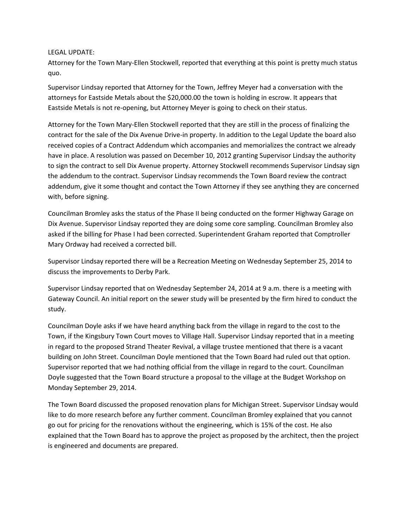## LEGAL UPDATE:

Attorney for the Town Mary-Ellen Stockwell, reported that everything at this point is pretty much status quo.

Supervisor Lindsay reported that Attorney for the Town, Jeffrey Meyer had a conversation with the attorneys for Eastside Metals about the \$20,000.00 the town is holding in escrow. It appears that Eastside Metals is not re-opening, but Attorney Meyer is going to check on their status.

Attorney for the Town Mary-Ellen Stockwell reported that they are still in the process of finalizing the contract for the sale of the Dix Avenue Drive-in property. In addition to the Legal Update the board also received copies of a Contract Addendum which accompanies and memorializes the contract we already have in place. A resolution was passed on December 10, 2012 granting Supervisor Lindsay the authority to sign the contract to sell Dix Avenue property. Attorney Stockwell recommends Supervisor Lindsay sign the addendum to the contract. Supervisor Lindsay recommends the Town Board review the contract addendum, give it some thought and contact the Town Attorney if they see anything they are concerned with, before signing.

Councilman Bromley asks the status of the Phase II being conducted on the former Highway Garage on Dix Avenue. Supervisor Lindsay reported they are doing some core sampling. Councilman Bromley also asked if the billing for Phase I had been corrected. Superintendent Graham reported that Comptroller Mary Ordway had received a corrected bill.

Supervisor Lindsay reported there will be a Recreation Meeting on Wednesday September 25, 2014 to discuss the improvements to Derby Park.

Supervisor Lindsay reported that on Wednesday September 24, 2014 at 9 a.m. there is a meeting with Gateway Council. An initial report on the sewer study will be presented by the firm hired to conduct the study.

Councilman Doyle asks if we have heard anything back from the village in regard to the cost to the Town, if the Kingsbury Town Court moves to Village Hall. Supervisor Lindsay reported that in a meeting in regard to the proposed Strand Theater Revival, a village trustee mentioned that there is a vacant building on John Street. Councilman Doyle mentioned that the Town Board had ruled out that option. Supervisor reported that we had nothing official from the village in regard to the court. Councilman Doyle suggested that the Town Board structure a proposal to the village at the Budget Workshop on Monday September 29, 2014.

The Town Board discussed the proposed renovation plans for Michigan Street. Supervisor Lindsay would like to do more research before any further comment. Councilman Bromley explained that you cannot go out for pricing for the renovations without the engineering, which is 15% of the cost. He also explained that the Town Board has to approve the project as proposed by the architect, then the project is engineered and documents are prepared.